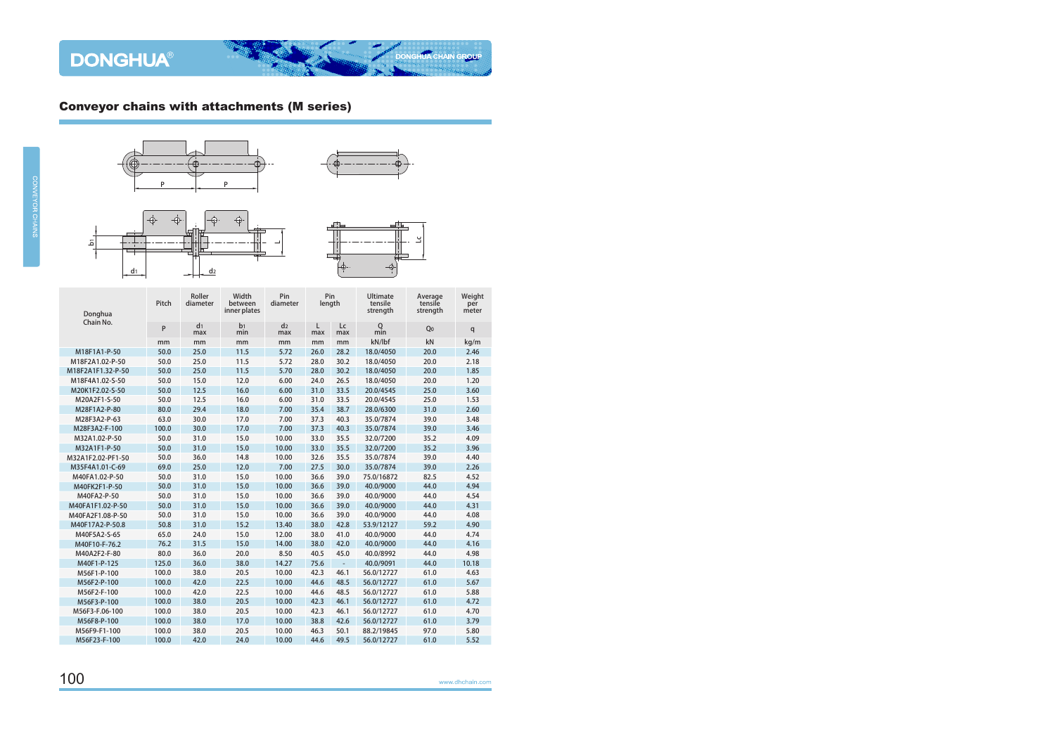







| Donghua           | Pitch | Roller<br>diameter    | Width<br>between<br>inner plates | Pin<br>diameter       |          | Pin<br><b>Ultimate</b><br>tensile<br>length<br>strength |                    | Average<br>tensile<br>strength | Weight<br>per<br>meter |
|-------------------|-------|-----------------------|----------------------------------|-----------------------|----------|---------------------------------------------------------|--------------------|--------------------------------|------------------------|
| Chain No.         | P     | d <sub>1</sub><br>max | b <sub>1</sub><br>min            | d <sub>2</sub><br>max | L<br>max | Lc<br>max                                               | $Q$ <sub>min</sub> | Q <sub>0</sub>                 | q                      |
|                   | mm    | mm                    | mm                               | mm                    | mm       | mm                                                      | kN/lbf             | kN                             | kg/m                   |
| M18F1A1-P-50      | 50.0  | 25.0                  | 11.5                             | 5.72                  | 26.0     | 28.2                                                    | 18.0/4050          | 20.0                           | 2.46                   |
| M18F2A1.02-P-50   | 50.0  | 25.0                  | 11.5                             | 5.72                  | 28.0     | 30.2                                                    | 18.0/4050          | 20.0                           | 2.18                   |
| M18F2A1F1.32-P-50 | 50.0  | 25.0                  | 11.5                             | 5.70                  | 28.0     | 30.2                                                    | 18.0/4050          | 20.0                           | 1.85                   |
| M18F4A1.02-S-50   | 50.0  | 15.0                  | 12.0                             | 6.00                  | 24.0     | 26.5                                                    | 18.0/4050          | 20.0                           | 1.20                   |
| M20K1F2.02-S-50   | 50.0  | 12.5                  | 16.0                             | 6.00                  | 31.0     | 33.5                                                    | 20.0/4545          | 25.0                           | 3.60                   |
| M20A2F1-S-50      | 50.0  | 12.5                  | 16.0                             | 6.00                  | 31.0     | 33.5                                                    | 20.0/4545          | 25.0                           | 1.53                   |
| M28F1A2-P-80      | 80.0  | 29.4                  | 18.0                             | 7.00                  | 35.4     | 38.7                                                    | 28.0/6300          | 31.0                           | 2.60                   |
| M28F3A2-P-63      | 63.0  | 30.0                  | 17.0                             | 7.00                  | 37.3     | 40.3                                                    | 35.0/7874          | 39.0                           | 3.48                   |
| M28F3A2-F-100     | 100.0 | 30.0                  | 17.0                             | 7.00                  | 37.3     | 40.3                                                    | 35.0/7874          | 39.0                           | 3.46                   |
| M32A1.02-P-50     | 50.0  | 31.0                  | 15.0                             | 10.00                 | 33.0     | 35.5                                                    | 32.0/7200          | 35.2                           | 4.09                   |
| M32A1F1-P-50      | 50.0  | 31.0                  | 15.0                             | 10.00                 | 33.0     | 35.5                                                    | 32.0/7200          | 35.2                           | 3.96                   |
| M32A1F2.02-PF1-50 | 50.0  | 36.0                  | 14.8                             | 10.00                 | 32.6     | 35.5                                                    | 35.0/7874          | 39.0                           | 4.40                   |
| M35F4A1.01-C-69   | 69.0  | 25.0                  | 12.0                             | 7.00                  | 27.5     | 30.0                                                    | 35.0/7874          | 39.0                           | 2.26                   |
| M40FA1.02-P-50    | 50.0  | 31.0                  | 15.0                             | 10.00                 | 36.6     | 39.0                                                    | 75.0/16872         | 82.5                           | 4.52                   |
| M40FK2F1-P-50     | 50.0  | 31.0                  | 15.0                             | 10.00                 | 36.6     | 39.0                                                    | 40.0/9000          | 44.0                           | 4.94                   |
| M40FA2-P-50       | 50.0  | 31.0                  | 15.0                             | 10.00                 | 36.6     | 39.0                                                    | 40.0/9000          | 44.0                           | 4.54                   |
| M40FA1F1.02-P-50  | 50.0  | 31.0                  | 15.0                             | 10.00                 | 36.6     | 39.0                                                    | 40.0/9000          | 44.0                           | 4.31                   |
| M40FA2F1.08-P-50  | 50.0  | 31.0                  | 15.0                             | 10.00                 | 36.6     | 39.0                                                    | 40.0/9000          | 44.0                           | 4.08                   |
| M40F17A2-P-50.8   | 50.8  | 31.0                  | 15.2                             | 13.40                 | 38.0     | 42.8                                                    | 53.9/12127         | 59.2                           | 4.90                   |
| M40F5A2-S-65      | 65.0  | 24.0                  | 15.0                             | 12.00                 | 38.0     | 41.0                                                    | 40.0/9000          | 44.0                           | 4.74                   |
| M40F10-F-76.2     | 76.2  | 31.5                  | 15.0                             | 14.00                 | 38.0     | 42.0                                                    | 40.0/9000          | 44.0                           | 4.16                   |
| M40A2F2-F-80      | 80.0  | 36.0                  | 20.0                             | 8.50                  | 40.5     | 45.0                                                    | 40.0/8992          | 44.0                           | 4.98                   |
| M40F1-P-125       | 125.0 | 36.0                  | 38.0                             | 14.27                 | 75.6     | $\overline{\phantom{a}}$                                | 40.0/9091          | 44.0                           | 10.18                  |
| M56F1-P-100       | 100.0 | 38.0                  | 20.5                             | 10.00                 | 42.3     | 46.1                                                    | 56.0/12727         | 61.0                           | 4.63                   |
| M56F2-P-100       | 100.0 | 42.0                  | 22.5                             | 10.00                 | 44.6     | 48.5                                                    | 56.0/12727         | 61.0                           | 5.67                   |
| M56F2-F-100       | 100.0 | 42.0                  | 22.5                             | 10.00                 | 44.6     | 48.5                                                    | 56.0/12727         | 61.0                           | 5.88                   |
| M56F3-P-100       | 100.0 | 38.0                  | 20.5                             | 10.00                 | 42.3     | 46.1                                                    | 56.0/12727         | 61.0                           | 4.72                   |
| M56F3-F.06-100    | 100.0 | 38.0                  | 20.5                             | 10.00                 | 42.3     | 46.1                                                    | 56.0/12727         | 61.0                           | 4.70                   |
| M56F8-P-100       | 100.0 | 38.0                  | 17.0                             | 10.00                 | 38.8     | 42.6                                                    | 56.0/12727         | 61.0                           | 3.79                   |
| M56F9-F1-100      | 100.0 | 38.0                  | 20.5                             | 10.00                 | 46.3     | 50.1                                                    | 88.2/19845         | 97.0                           | 5.80                   |
| M56F23-F-100      | 100.0 | 42.0                  | 24.0                             | 10.00                 | 44.6     | 49.5                                                    | 56.0/12727         | 61.0                           | 5.52                   |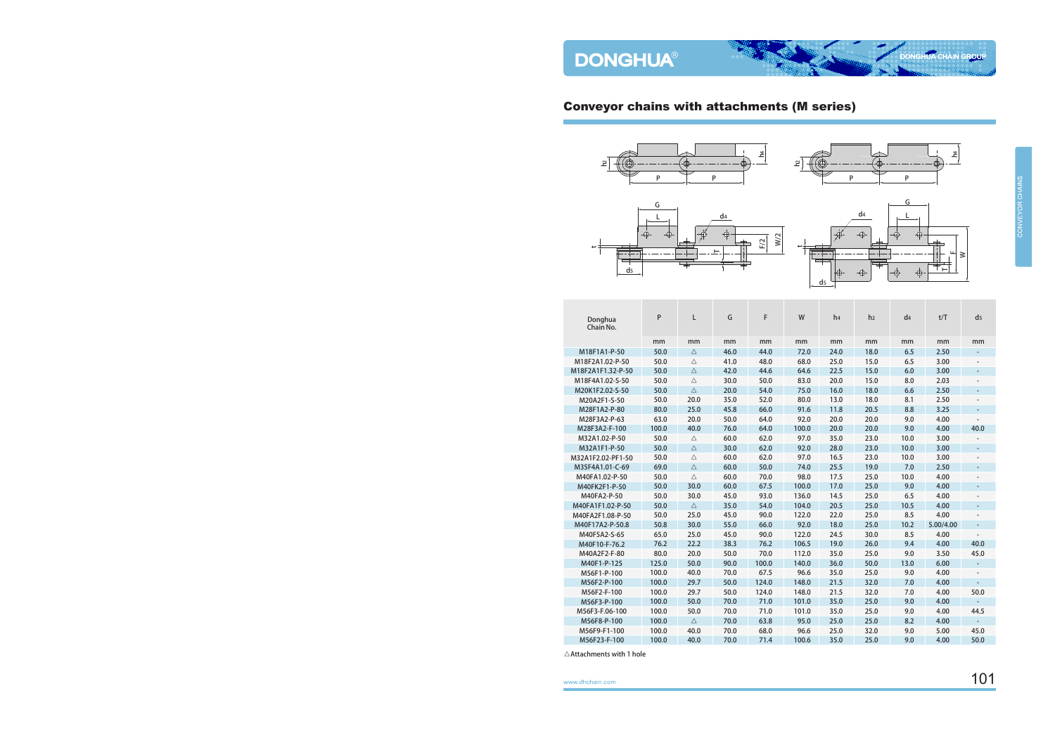L ⋧

 $\mathord{\vdash}$ 

### Conveyor chains with attachments (M series)







 $\overline{\varphi}$ 

 $\bigoplus$ 

 $\overline{\varphi}$ 

| Donghua<br>Chain No. | P     | L           | G    | F     | W     | h <sub>4</sub> | h <sub>2</sub> | d4   | t/T       | d <sub>5</sub>           |
|----------------------|-------|-------------|------|-------|-------|----------------|----------------|------|-----------|--------------------------|
|                      | mm    | mm          | mm   | mm    | mm    | mm             | mm             | mm   | mm        | mm                       |
| M18F1A1-P-50         | 50.0  | Δ           | 46.0 | 44.0  | 72.0  | 24.0           | 18.0           | 6.5  | 2.50      |                          |
| M18F2A1.02-P-50      | 50.0  | $\triangle$ | 41.0 | 48.0  | 68.0  | 25.0           | 15.0           | 6.5  | 3.00      |                          |
| M18F2A1F1.32-P-50    | 50.0  | $\triangle$ | 42.0 | 44.6  | 64.6  | 22.5           | 15.0           | 6.0  | 3.00      | $\overline{a}$           |
| M18F4A1.02-S-50      | 50.0  | $\triangle$ | 30.0 | 50.0  | 83.0  | 20.0           | 15.0           | 8.0  | 2.03      |                          |
| M20K1F2.02-S-50      | 50.0  | $\triangle$ | 20.0 | 54.0  | 75.0  | 16.0           | 18.0           | 6.6  | 2.50      | $\overline{a}$           |
| M20A2F1-S-50         | 50.0  | 20.0        | 35.0 | 52.0  | 80.0  | 13.0           | 18.0           | 8.1  | 2.50      |                          |
| M28F1A2-P-80         | 80.0  | 25.0        | 45.8 | 66.0  | 91.6  | 11.8           | 20.5           | 8.8  | 3.25      |                          |
| M28F3A2-P-63         | 63.0  | 20.0        | 50.0 | 64.0  | 92.0  | 20.0           | 20.0           | 9.0  | 4.00      |                          |
| M28F3A2-F-100        | 100.0 | 40.0        | 76.0 | 64.0  | 100.0 | 20.0           | 20.0           | 9.0  | 4.00      | 40.0                     |
| M32A1.02-P-50        | 50.0  | $\triangle$ | 60.0 | 62.0  | 97.0  | 35.0           | 23.0           | 10.0 | 3.00      |                          |
| M32A1F1-P-50         | 50.0  | $\triangle$ | 30.0 | 62.0  | 92.0  | 28.0           | 23.0           | 10.0 | 3.00      | $\overline{a}$           |
| M32A1F2.02-PF1-50    | 50.0  | $\triangle$ | 60.0 | 62.0  | 97.0  | 16.5           | 23.0           | 10.0 | 3.00      | $\overline{\phantom{0}}$ |
| M35F4A1.01-C-69      | 69.0  | $\triangle$ | 60.0 | 50.0  | 74.0  | 25.5           | 19.0           | 7.0  | 2.50      | $\overline{a}$           |
| M40FA1.02-P-50       | 50.0  | $\triangle$ | 60.0 | 70.0  | 98.0  | 17.5           | 25.0           | 10.0 | 4.00      | $\overline{\phantom{0}}$ |
| M40FK2F1-P-50        | 50.0  | 30.0        | 60.0 | 67.5  | 100.0 | 17.0           | 25.0           | 9.0  | 4.00      | $\overline{\phantom{0}}$ |
| M40FA2-P-50          | 50.0  | 30.0        | 45.0 | 93.0  | 136.0 | 14.5           | 25.0           | 6.5  | 4.00      | $\overline{a}$           |
| M40FA1F1.02-P-50     | 50.0  | $\triangle$ | 35.0 | 54.0  | 104.0 | 20.5           | 25.0           | 10.5 | 4.00      | $\overline{\phantom{0}}$ |
| M40FA2F1.08-P-50     | 50.0  | 25.0        | 45.0 | 90.0  | 122.0 | 22.0           | 25.0           | 8.5  | 4.00      | $\overline{\phantom{0}}$ |
| M40F17A2-P-50.8      | 50.8  | 30.0        | 55.0 | 66.0  | 92.0  | 18.0           | 25.0           | 10.2 | 5.00/4.00 | $\overline{\phantom{0}}$ |
| M40F5A2-S-65         | 65.0  | 25.0        | 45.0 | 90.0  | 122.0 | 24.5           | 30.0           | 8.5  | 4.00      | $\overline{a}$           |
| M40F10-F-76.2        | 76.2  | 22.2        | 38.3 | 76.2  | 106.5 | 19.0           | 26.0           | 9.4  | 4.00      | 40.0                     |
| M40A2F2-F-80         | 80.0  | 20.0        | 50.0 | 70.0  | 112.0 | 35.0           | 25.0           | 9.0  | 3.50      | 45.0                     |
| M40F1-P-125          | 125.0 | 50.0        | 90.0 | 100.0 | 140.0 | 36.0           | 50.0           | 13.0 | 6.00      | $\overline{\phantom{a}}$ |
| M56F1-P-100          | 100.0 | 40.0        | 70.0 | 67.5  | 96.6  | 35.0           | 25.0           | 9.0  | 4.00      | $\overline{\phantom{0}}$ |
| M56F2-P-100          | 100.0 | 29.7        | 50.0 | 124.0 | 148.0 | 21.5           | 32.0           | 7.0  | 4.00      | $\overline{a}$           |
| M56F2-F-100          | 100.0 | 29.7        | 50.0 | 124.0 | 148.0 | 21.5           | 32.0           | 7.0  | 4.00      | 50.0                     |
| M56F3-P-100          | 100.0 | 50.0        | 70.0 | 71.0  | 101.0 | 35.0           | 25.0           | 9.0  | 4.00      | $\overline{\phantom{a}}$ |
| M56F3-F.06-100       | 100.0 | 50.0        | 70.0 | 71.0  | 101.0 | 35.0           | 25.0           | 9.0  | 4.00      | 44.5                     |
| M56F8-P-100          | 100.0 | $\triangle$ | 70.0 | 63.8  | 95.0  | 25.0           | 25.0           | 8.2  | 4.00      | ÷,                       |
| M56F9-F1-100         | 100.0 | 40.0        | 70.0 | 68.0  | 96.6  | 25.0           | 32.0           | 9.0  | 5.00      | 45.0                     |
| M56F23-F-100         | 100.0 | 40.0        | 70.0 | 71.4  | 100.6 | 35.0           | 25.0           | 9.0  | 4.00      | 50.0                     |

t

d

⊕

 $\triangle$ Attachments with 1 hole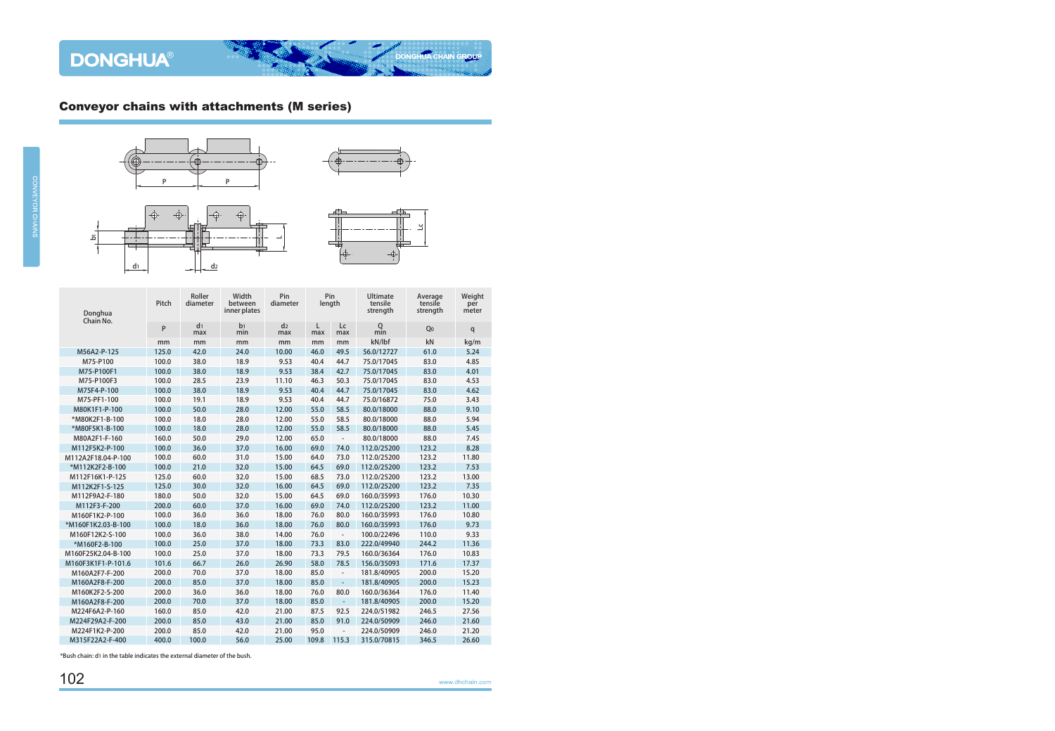

 $d_1$  d<sub>2</sub>







| Donghua<br>Chain No. | Pitch | Roller<br>diameter    | Width<br>between<br>inner plates | Pin<br>diameter       |          | Pin<br>length            | Ultimate<br>tensile<br>strength | Average<br>tensile<br>strength | Weight<br>per<br>meter |
|----------------------|-------|-----------------------|----------------------------------|-----------------------|----------|--------------------------|---------------------------------|--------------------------------|------------------------|
|                      | P     | d <sub>1</sub><br>max | b <sub>1</sub><br>min            | d <sub>2</sub><br>max | L<br>max | Lc<br>max                | $Q$ <sub>min</sub>              | Q <sub>0</sub>                 | q                      |
|                      | mm    | mm                    | mm                               | mm                    | mm       | mm                       | kN/lbf                          | kN                             | kg/m                   |
| M56A2-P-125          | 125.0 | 42.0                  | 24.0                             | 10.00                 | 46.0     | 49.5                     | 56.0/12727                      | 61.0                           | 5.24                   |
| M75-P100             | 100.0 | 38.0                  | 18.9                             | 9.53                  | 40.4     | 44.7                     | 75.0/17045                      | 83.0                           | 4.85                   |
| M75-P100F1           | 100.0 | 38.0                  | 18.9                             | 9.53                  | 38.4     | 42.7                     | 75.0/17045                      | 83.0                           | 4.01                   |
| M75-P100F3           | 100.0 | 28.5                  | 23.9                             | 11.10                 | 46.3     | 50.3                     | 75.0/17045                      | 83.0                           | 4.53                   |
| M75F4-P-100          | 100.0 | 38.0                  | 18.9                             | 9.53                  | 40.4     | 44.7                     | 75.0/17045                      | 83.0                           | 4.62                   |
| M75-PF1-100          | 100.0 | 19.1                  | 18.9                             | 9.53                  | 40.4     | 44.7                     | 75.0/16872                      | 75.0                           | 3.43                   |
| M80K1F1-P-100        | 100.0 | 50.0                  | 28.0                             | 12.00                 | 55.0     | 58.5                     | 80.0/18000                      | 88.0                           | 9.10                   |
| *M80K2F1-B-100       | 100.0 | 18.0                  | 28.0                             | 12.00                 | 55.0     | 58.5                     | 80.0/18000                      | 88.0                           | 5.94                   |
| *M80F5K1-B-100       | 100.0 | 18.0                  | 28.0                             | 12.00                 | 55.0     | 58.5                     | 80.0/18000                      | 88.0                           | 5.45                   |
| M80A2F1-F-160        | 160.0 | 50.0                  | 29.0                             | 12.00                 | 65.0     | $\overline{\phantom{a}}$ | 80.0/18000                      | 88.0                           | 7.45                   |
| M112F5K2-P-100       | 100.0 | 36.0                  | 37.0                             | 16.00                 | 69.0     | 74.0                     | 112.0/25200                     | 123.2                          | 8.28                   |
| M112A2F18.04-P-100   | 100.0 | 60.0                  | 31.0                             | 15.00                 | 64.0     | 73.0                     | 112.0/25200                     | 123.2                          | 11.80                  |
| *M112K2F2-B-100      | 100.0 | 21.0                  | 32.0                             | 15.00                 | 64.5     | 69.0                     | 112.0/25200                     | 123.2                          | 7.53                   |
| M112F16K1-P-125      | 125.0 | 60.0                  | 32.0                             | 15.00                 | 68.5     | 73.0                     | 112.0/25200                     | 123.2                          | 13.00                  |
| M112K2F1-S-125       | 125.0 | 30.0                  | 32.0                             | 16.00                 | 64.5     | 69.0                     | 112.0/25200                     | 123.2                          | 7.35                   |
| M112F9A2-F-180       | 180.0 | 50.0                  | 32.0                             | 15.00                 | 64.5     | 69.0                     | 160.0/35993                     | 176.0                          | 10.30                  |
| M112F3-F-200         | 200.0 | 60.0                  | 37.0                             | 16.00                 | 69.0     | 74.0                     | 112.0/25200                     | 123.2                          | 11.00                  |
| M160F1K2-P-100       | 100.0 | 36.0                  | 36.0                             | 18.00                 | 76.0     | 80.0                     | 160.0/35993                     | 176.0                          | 10.80                  |
| *M160F1K2.03-B-100   | 100.0 | 18.0                  | 36.0                             | 18.00                 | 76.0     | 80.0                     | 160.0/35993                     | 176.0                          | 9.73                   |
| M160F12K2-S-100      | 100.0 | 36.0                  | 38.0                             | 14.00                 | 76.0     | $\overline{\phantom{a}}$ | 100.0/22496                     | 110.0                          | 9.33                   |
| *M160F2-B-100        | 100.0 | 25.0                  | 37.0                             | 18.00                 | 73.3     | 83.0                     | 222.0/49940                     | 244.2                          | 11.36                  |
| M160F25K2.04-B-100   | 100.0 | 25.0                  | 37.0                             | 18.00                 | 73.3     | 79.5                     | 160.0/36364                     | 176.0                          | 10.83                  |
| M160F3K1F1-P-101.6   | 101.6 | 66.7                  | 26.0                             | 26.90                 | 58.0     | 78.5                     | 156.0/35093                     | 171.6                          | 17.37                  |
| M160A2F7-F-200       | 200.0 | 70.0                  | 37.0                             | 18.00                 | 85.0     | $\overline{\phantom{a}}$ | 181.8/40905                     | 200.0                          | 15.20                  |
| M160A2F8-F-200       | 200.0 | 85.0                  | 37.0                             | 18.00                 | 85.0     | $\equiv$                 | 181.8/40905                     | 200.0                          | 15.23                  |
| M160K2F2-S-200       | 200.0 | 36.0                  | 36.0                             | 18.00                 | 76.0     | 80.0                     | 160.0/36364                     | 176.0                          | 11.40                  |
| M160A2F8-F-200       | 200.0 | 70.0                  | 37.0                             | 18.00                 | 85.0     | $\mathcal{L}^{\pm}$      | 181.8/40905                     | 200.0                          | 15.20                  |
| M224F6A2-P-160       | 160.0 | 85.0                  | 42.0                             | 21.00                 | 87.5     | 92.5                     | 224.0/51982                     | 246.5                          | 27.56                  |
| M224F29A2-F-200      | 200.0 | 85.0                  | 43.0                             | 21.00                 | 85.0     | 91.0                     | 224.0/50909                     | 246.0                          | 21.60                  |
| M224F1K2-P-200       | 200.0 | 85.0                  | 42.0                             | 21.00                 | 95.0     | $\overline{\phantom{a}}$ | 224.0/50909                     | 246.0                          | 21.20                  |
| M315F22A2-F-400      | 400.0 | 100.0                 | 56.0                             | 25.00                 | 109.8    | 115.3                    | 315.0/70815                     | 346.5                          | 26.60                  |

\*Bush chain: d1 in the table indicates the external diameter of the bush.

 $\overline{a}$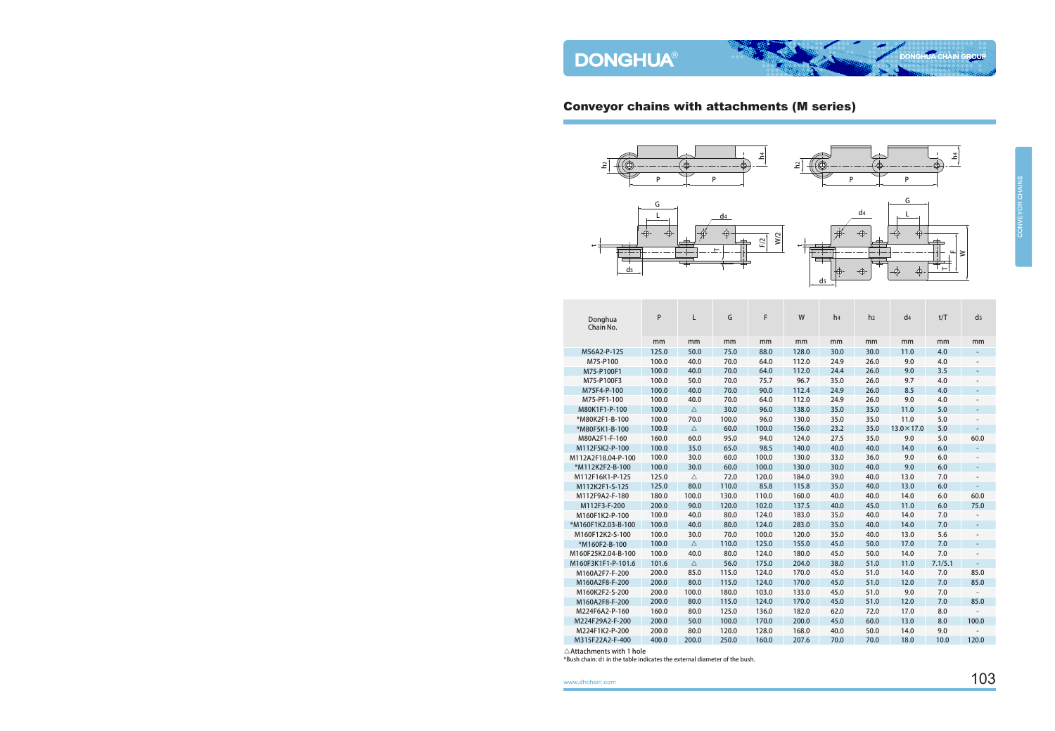





d

| Donghua<br>Chain No. | P     | L           | G     | F     | W     | h <sub>4</sub> | h <sub>2</sub> | d <sub>4</sub>     | t/T     | $\mathsf{d}$             |
|----------------------|-------|-------------|-------|-------|-------|----------------|----------------|--------------------|---------|--------------------------|
|                      | mm    | mm          | mm    | mm    | mm    | mm             | mm             | mm                 | mm      | mm                       |
| M56A2-P-125          | 125.0 | 50.0        | 75.0  | 88.0  | 128.0 | 30.0           | 30.0           | 11.0               | 4.0     |                          |
| M75-P100             | 100.0 | 40.0        | 70.0  | 64.0  | 112.0 | 24.9           | 26.0           | 9.0                | 4.0     |                          |
| M75-P100F1           | 100.0 | 40.0        | 70.0  | 64.0  | 112.0 | 24.4           | 26.0           | 9.0                | 3.5     | $\overline{\phantom{a}}$ |
| M75-P100F3           | 100.0 | 50.0        | 70.0  | 75.7  | 96.7  | 35.0           | 26.0           | 9.7                | 4.0     |                          |
| M75F4-P-100          | 100.0 | 40.0        | 70.0  | 90.0  | 112.4 | 24.9           | 26.0           | 8.5                | 4.0     | $\overline{\phantom{a}}$ |
| M75-PF1-100          | 100.0 | 40.0        | 70.0  | 64.0  | 112.0 | 24.9           | 26.0           | 9.0                | 4.0     |                          |
| M80K1F1-P-100        | 100.0 | $\triangle$ | 30.0  | 96.0  | 138.0 | 35.0           | 35.0           | 11.0               | 5.0     | $\overline{a}$           |
| *M80K2F1-B-100       | 100.0 | 70.0        | 100.0 | 96.0  | 130.0 | 35.0           | 35.0           | 11.0               | 5.0     |                          |
| *M80F5K1-B-100       | 100.0 | $\triangle$ | 60.0  | 100.0 | 156.0 | 23.2           | 35.0           | $13.0 \times 17.0$ | 5.0     |                          |
| M80A2F1-F-160        | 160.0 | 60.0        | 95.0  | 94.0  | 124.0 | 27.5           | 35.0           | 9.0                | 5.0     | 60.0                     |
| M112F5K2-P-100       | 100.0 | 35.0        | 65.0  | 98.5  | 140.0 | 40.0           | 40.0           | 14.0               | 6.0     |                          |
| M112A2F18.04-P-100   | 100.0 | 30.0        | 60.0  | 100.0 | 130.0 | 33.0           | 36.0           | 9.0                | 6.0     |                          |
| *M112K2F2-B-100      | 100.0 | 30.0        | 60.0  | 100.0 | 130.0 | 30.0           | 40.0           | 9.0                | 6.0     | $\overline{a}$           |
| M112F16K1-P-125      | 125.0 | $\triangle$ | 72.0  | 120.0 | 184.0 | 39.0           | 40.0           | 13.0               | 7.0     |                          |
| M112K2F1-S-125       | 125.0 | 80.0        | 110.0 | 85.8  | 115.8 | 35.0           | 40.0           | 13.0               | 6.0     |                          |
| M112F9A2-F-180       | 180.0 | 100.0       | 130.0 | 110.0 | 160.0 | 40.0           | 40.0           | 14.0               | 6.0     | 60.0                     |
| M112F3-F-200         | 200.0 | 90.0        | 120.0 | 102.0 | 137.5 | 40.0           | 45.0           | 11.0               | 6.0     | 75.0                     |
| M160F1K2-P-100       | 100.0 | 40.0        | 80.0  | 124.0 | 183.0 | 35.0           | 40.0           | 14.0               | 7.0     |                          |
| *M160F1K2.03-B-100   | 100.0 | 40.0        | 80.0  | 124.0 | 283.0 | 35.0           | 40.0           | 14.0               | 7.0     | $\overline{\phantom{a}}$ |
| M160F12K2-S-100      | 100.0 | 30.0        | 70.0  | 100.0 | 120.0 | 35.0           | 40.0           | 13.0               | 5.6     |                          |
| *M160F2-B-100        | 100.0 | $\triangle$ | 110.0 | 125.0 | 155.0 | 45.0           | 50.0           | 17.0               | 7.0     |                          |
| M160F25K2.04-B-100   | 100.0 | 40.0        | 80.0  | 124.0 | 180.0 | 45.0           | 50.0           | 14.0               | 7.0     |                          |
| M160F3K1F1-P-101.6   | 101.6 | $\triangle$ | 56.0  | 175.0 | 204.0 | 38.0           | 51.0           | 11.0               | 7.1/5.1 |                          |
| M160A2F7-F-200       | 200.0 | 85.0        | 115.0 | 124.0 | 170.0 | 45.0           | 51.0           | 14.0               | 7.0     | 85.0                     |
| M160A2F8-F-200       | 200.0 | 80.0        | 115.0 | 124.0 | 170.0 | 45.0           | 51.0           | 12.0               | 7.0     | 85.0                     |
| M160K2F2-S-200       | 200.0 | 100.0       | 180.0 | 103.0 | 133.0 | 45.0           | 51.0           | 9.0                | 7.0     |                          |
| M160A2F8-F-200       | 200.0 | 80.0        | 115.0 | 124.0 | 170.0 | 45.0           | 51.0           | 12.0               | 7.0     | 85.0                     |
| M224F6A2-P-160       | 160.0 | 80.0        | 125.0 | 136.0 | 182.0 | 62.0           | 72.0           | 17.0               | 8.0     |                          |
| M224F29A2-F-200      | 200.0 | 50.0        | 100.0 | 170.0 | 200.0 | 45.0           | 60.0           | 13.0               | 8.0     | 100.0                    |
| M224F1K2-P-200       | 200.0 | 80.0        | 120.0 | 128.0 | 168.0 | 40.0           | 50.0           | 14.0               | 9.0     |                          |
| M315F22A2-F-400      | 400.0 | 200.0       | 250.0 | 160.0 | 207.6 | 70.0           | 70.0           | 18.0               | 10.0    | 120.0                    |
|                      |       |             |       |       |       |                |                |                    |         |                          |

 $\triangle$ Attachments with 1 hole

\*Bush chain: d1 in the table indicates the external diameter of the bush.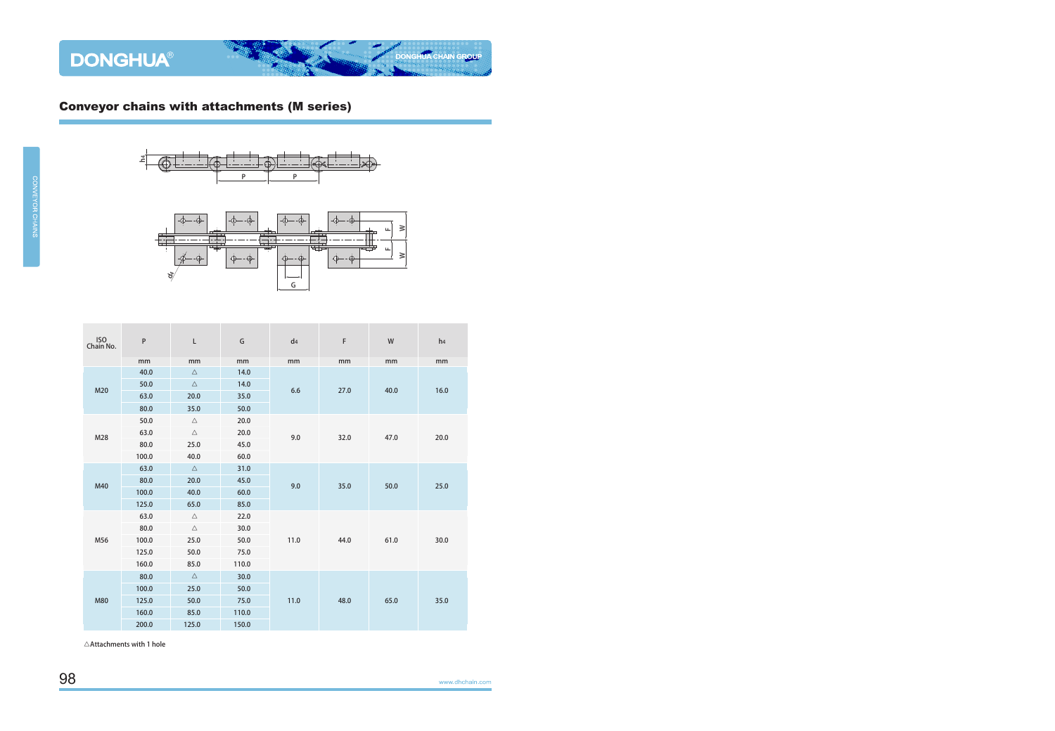





| ISO<br>Chain No. | ${\sf P}$ | $\mathsf{L}$ | G     | d4   | F    | W    | h4   |  |
|------------------|-----------|--------------|-------|------|------|------|------|--|
|                  | mm        | mm           | mm    | mm   | mm   | mm   | mm   |  |
|                  | 40.0      | $\triangle$  | 14.0  |      |      |      |      |  |
| M20              | 50.0      | $\triangle$  | 14.0  | 6.6  | 27.0 | 40.0 | 16.0 |  |
|                  | 63.0      | 20.0         | 35.0  |      |      |      |      |  |
|                  | 80.0      | 35.0         | 50.0  |      |      |      |      |  |
|                  | 50.0      | $\triangle$  | 20.0  |      |      |      |      |  |
| M28              | 63.0      | $\triangle$  | 20.0  | 9.0  | 32.0 | 47.0 | 20.0 |  |
|                  | 80.0      | 25.0         | 45.0  |      |      |      |      |  |
|                  | 100.0     | 40.0         | 60.0  |      |      |      |      |  |
| M40              | 63.0      | $\triangle$  | 31.0  |      |      |      |      |  |
|                  | 80.0      | 20.0         | 45.0  | 9.0  | 35.0 | 50.0 | 25.0 |  |
|                  | 100.0     | 40.0         | 60.0  |      |      |      |      |  |
|                  | 125.0     | 65.0         | 85.0  |      |      |      |      |  |
|                  | 63.0      | $\triangle$  | 22.0  |      | 44.0 | 61.0 |      |  |
|                  | 80.0      | $\triangle$  | 30.0  |      |      |      | 30.0 |  |
| M56              | 100.0     | 25.0         | 50.0  | 11.0 |      |      |      |  |
|                  | 125.0     | 50.0         | 75.0  |      |      |      |      |  |
|                  | 160.0     | 85.0         | 110.0 |      |      |      |      |  |
|                  | 80.0      | $\triangle$  | 30.0  |      |      |      |      |  |
|                  | 100.0     | 25.0         | 50.0  |      |      | 65.0 |      |  |
| M80              | 125.0     | 50.0         | 75.0  | 11.0 | 48.0 |      | 35.0 |  |
|                  | 160.0     | 85.0         | 110.0 |      |      |      |      |  |
|                  | 200.0     | 125.0        | 150.0 |      |      |      |      |  |

 $\triangle$ Attachments with 1 hole